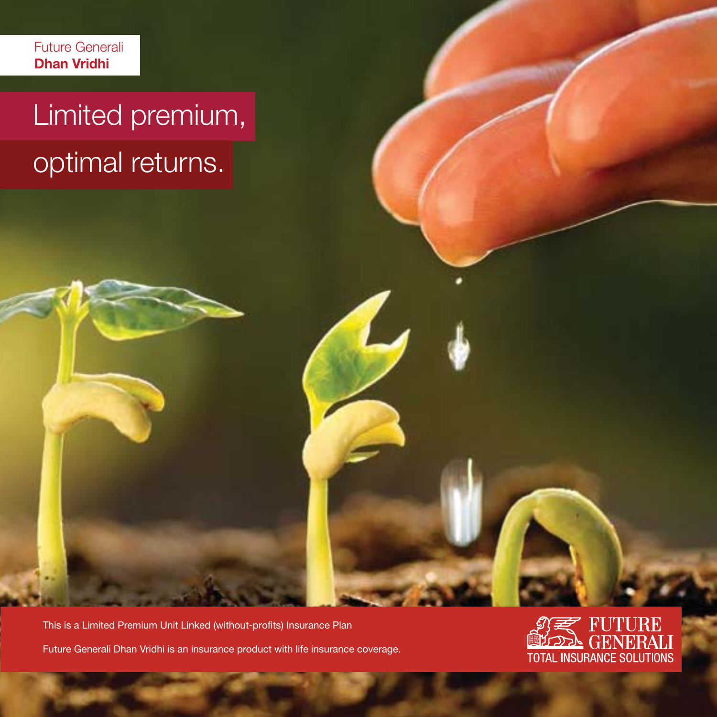Future Generali **Dhan Vridhi**

# Limited premium, optimal returns.

This is a Limited Premium Unit Linked (without-profits) Insurance Plan Future Generali Dhan Vridhi is an insurance product with life insurance coverage.

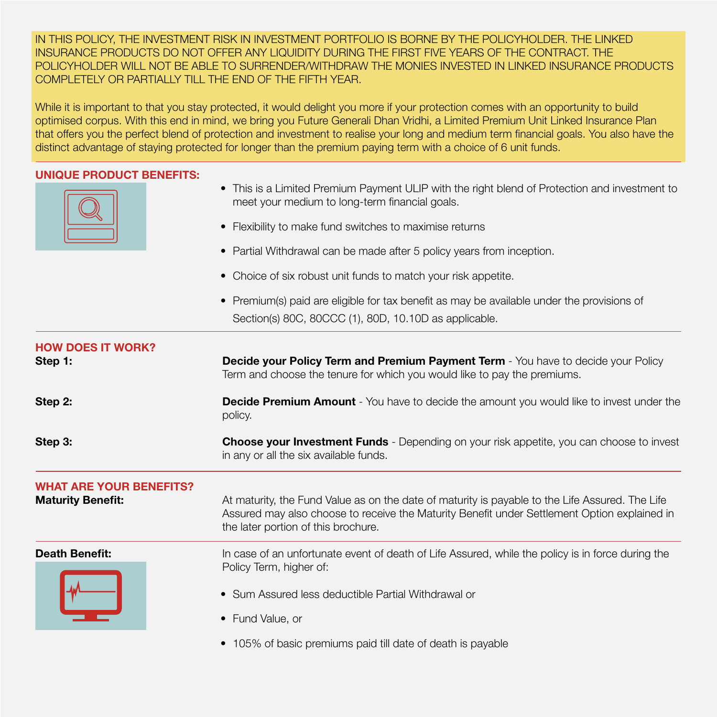IN THIS POLICY, THE INVESTMENT RISK IN INVESTMENT PORTFOLIO IS BORNE BY THE POLICYHOLDER. THE LINKED INSURANCE PRODUCTS DO NOT OFFER ANY LIQUIDITY DURING THE FIRST FIVE YEARS OF THE CONTRACT. THE POLICYHOLDER WILL NOT BE ABLE TO SURRENDER/WITHDRAW THE MONIES INVESTED IN LINKED INSURANCE PRODUCTS COMPLETELY OR PARTIALLY TILL THE END OF THE FIFTH YEAR.

While it is important to that you stay protected, it would delight you more if your protection comes with an opportunity to build optimised corpus. With this end in mind, we bring you Future Generali Dhan Vridhi, a Limited Premium Unit Linked Insurance Plan that offers you the perfect blend of protection and investment to realise your long and medium term financial goals. You also have the distinct advantage of staying protected for longer than the premium paying term with a choice of 6 unit funds.

# **UNIQUE PRODUCT BENEFITS:**



- This is a Limited Premium Payment ULIP with the right blend of Protection and investment to meet your medium to long-term financial goals.
- Flexibility to make fund switches to maximise returns
- Partial Withdrawal can be made after 5 policy years from inception.
- Choice of six robust unit funds to match your risk appetite.
- Premium(s) paid are eligible for tax benefit as may be available under the provisions of Section(s) 80C, 80CCC (1), 80D, 10.10D as applicable.

| <b>HOW DOES IT WORK?</b><br>Step 1:                        | <b>Decide your Policy Term and Premium Payment Term</b> - You have to decide your Policy<br>Term and choose the tenure for which you would like to pay the premiums.                                                                   |  |  |  |
|------------------------------------------------------------|----------------------------------------------------------------------------------------------------------------------------------------------------------------------------------------------------------------------------------------|--|--|--|
| Step 2:                                                    | <b>Decide Premium Amount</b> - You have to decide the amount you would like to invest under the<br>policy.                                                                                                                             |  |  |  |
| Step 3:                                                    | <b>Choose your Investment Funds</b> - Depending on your risk appetite, you can choose to invest<br>in any or all the six available funds.                                                                                              |  |  |  |
| <b>WHAT ARE YOUR BENEFITS?</b><br><b>Maturity Benefit:</b> | At maturity, the Fund Value as on the date of maturity is payable to the Life Assured. The Life<br>Assured may also choose to receive the Maturity Benefit under Settlement Option explained in<br>the later portion of this brochure. |  |  |  |
| <b>Death Benefit:</b>                                      | In case of an unfortunate event of death of Life Assured, while the policy is in force during the<br>Policy Term, higher of:<br>• Sum Assured less deductible Partial Withdrawal or<br>• Fund Value, or                                |  |  |  |
|                                                            | • 105% of basic premiums paid till date of death is payable                                                                                                                                                                            |  |  |  |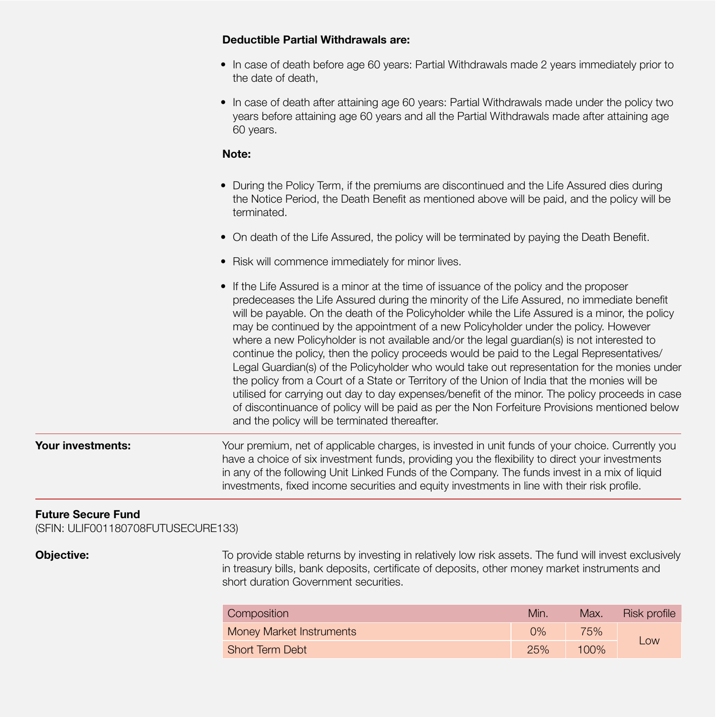# **Deductible Partial Withdrawals are:**

- In case of death before age 60 years: Partial Withdrawals made 2 years immediately prior to the date of death,
- In case of death after attaining age 60 years: Partial Withdrawals made under the policy two years before attaining age 60 years and all the Partial Withdrawals made after attaining age 60 years.

## *Note:* Note:

- During the Policy Term, if the premiums are discontinued and the Life Assured dies during the Notice Period, the Death Benefit as mentioned above will be paid, and the policy will be terminated.
- On death of the Life Assured, the policy will be terminated by paying the Death Benefit.
- Risk will commence immediately for minor lives.
- If the Life Assured is a minor at the time of issuance of the policy and the proposer predeceases the Life Assured during the minority of the Life Assured, no immediate benefit will be payable. On the death of the Policyholder while the Life Assured is a minor, the policy may be continued by the appointment of a new Policyholder under the policy. However where a new Policyholder is not available and/or the legal guardian(s) is not interested to continue the policy, then the policy proceeds would be paid to the Legal Representatives/ Legal Guardian(s) of the Policyholder who would take out representation for the monies under the policy from a Court of a State or Territory of the Union of India that the monies will be utilised for carrying out day to day expenses/benefit of the minor. The policy proceeds in case of discontinuance of policy will be paid as per the Non Forfeiture Provisions mentioned below and the policy will be terminated thereafter.

# **Your investments:** Your premium, net of applicable charges, is invested in unit funds of your choice. Currently you have a choice of six investment funds, providing you the flexibility to direct your investments in any of the following Unit Linked Funds of the Company. The funds invest in a mix of liquid investments, fixed income securities and equity investments in line with their risk profile.

# **Future Secure Fund**

(SFIN: ULIF001180708FUTUSECURE133)

**Objective:** To provide stable returns by investing in relatively low risk assets. The fund will invest exclusively in treasury bills, bank deposits, certificate of deposits, other money market instruments and short duration Government securities.

| Composition                     | Min.  | Max. | Risk profile |
|---------------------------------|-------|------|--------------|
| <b>Money Market Instruments</b> | $0\%$ | 75%  |              |
| <b>Short Term Debt</b>          | 25%   | 100% | LOW          |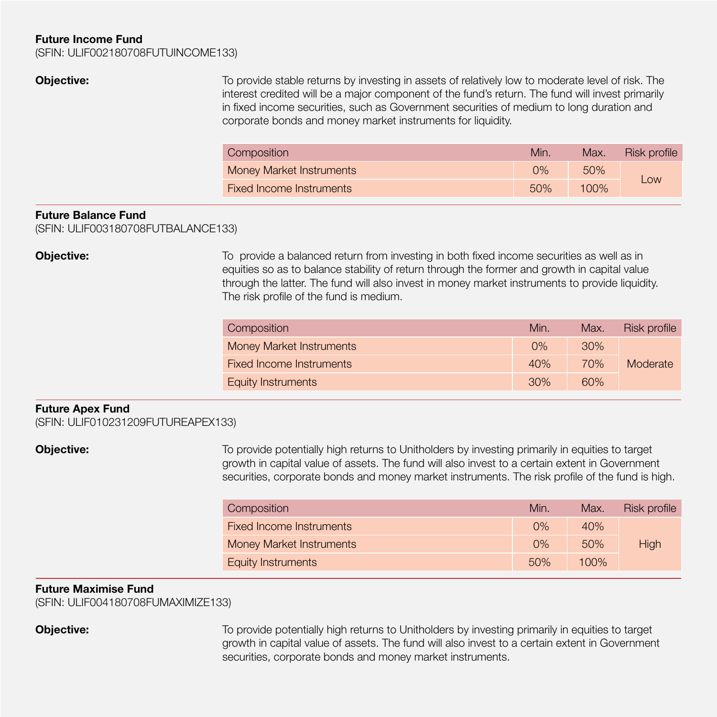### **Future Income Fund**

(SFIN: ULIF002180708FUTUINCOME133)

**Objective:** To provide stable returns by investing in assets of relatively low to moderate level of risk. The interest credited will be a major component of the fund's return. The fund will invest primarily in fixed income securities, such as Government securities of medium to long duration and corporate bonds and money market instruments for liquidity.

| Composition                     | Min | Max. | Risk profile |
|---------------------------------|-----|------|--------------|
| Money Market Instruments        | 0%  | 50%  |              |
| <b>Fixed Income Instruments</b> | 50% | 100% | Low          |

# **Future Balance Fund**

(SFIN: ULIF003180708FUTBALANCE133)

**Objective:** To provide a balanced return from investing in both fixed income securities as well as in equities so as to balance stability of return through the former and growth in capital value through the latter. The fund will also invest in money market instruments to provide liquidity. The risk profile of the fund is medium.

| Composition               | Min.  | Max. | Risk profile |
|---------------------------|-------|------|--------------|
| Money Market Instruments  | $0\%$ | 30%  |              |
| Fixed Income Instruments  | 40%   | 70%  | Moderate     |
| <b>Equity Instruments</b> | 30%   | 60%  |              |

### **Future Apex Fund**

(SFIN: ULIF010231209FUTUREAPEX133)

**Objective:** To provide potentially high returns to Unitholders by investing primarily in equities to target growth in capital value of assets. The fund will also invest to a certain extent in Government securities, corporate bonds and money market instruments. The risk profile of the fund is high.

| Composition                     | Min.  | Max.    | Risk profile |
|---------------------------------|-------|---------|--------------|
| Fixed Income Instruments        | $0\%$ | 40%     |              |
| <b>Money Market Instruments</b> | $0\%$ | 50%     | High         |
| <b>Equity Instruments</b>       | 50%   | $100\%$ |              |

# **Future Maximise Fund**

(SFIN: ULIF004180708FUMAXIMIZE133)

**Objective:** To provide potentially high returns to Unitholders by investing primarily in equities to target growth in capital value of assets. The fund will also invest to a certain extent in Government securities, corporate bonds and money market instruments.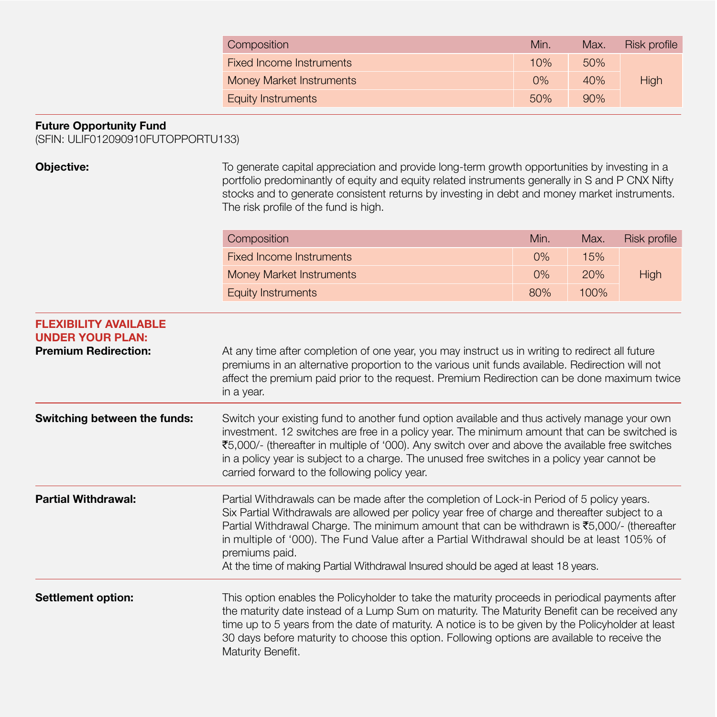| Composition               | Min.  | Max. | Risk profile |
|---------------------------|-------|------|--------------|
| Fixed Income Instruments  | 10%   | 50%  |              |
| Money Market Instruments  | $0\%$ | 40%  | High         |
| <b>Equity Instruments</b> | 50%   | 90%  |              |

30 days before maturity to choose this option. Following options are available to receive the

# **Future Opportunity Fund**

(SFIN: ULIF012090910FUTOPPORTU133)

| Objective:                                                                             | To generate capital appreciation and provide long-term growth opportunities by investing in a<br>portfolio predominantly of equity and equity related instruments generally in S and P CNX Nifty<br>stocks and to generate consistent returns by investing in debt and money market instruments.<br>The risk profile of the fund is high.                                                                                                                                                        |      |      |              |
|----------------------------------------------------------------------------------------|--------------------------------------------------------------------------------------------------------------------------------------------------------------------------------------------------------------------------------------------------------------------------------------------------------------------------------------------------------------------------------------------------------------------------------------------------------------------------------------------------|------|------|--------------|
|                                                                                        | Composition                                                                                                                                                                                                                                                                                                                                                                                                                                                                                      | Min. | Max. | Risk profile |
|                                                                                        | <b>Fixed Income Instruments</b>                                                                                                                                                                                                                                                                                                                                                                                                                                                                  | 0%   | 15%  |              |
|                                                                                        | <b>Money Market Instruments</b>                                                                                                                                                                                                                                                                                                                                                                                                                                                                  | 0%   | 20%  | High         |
|                                                                                        | <b>Equity Instruments</b>                                                                                                                                                                                                                                                                                                                                                                                                                                                                        | 80%  | 100% |              |
| <b>FLEXIBILITY AVAILABLE</b><br><b>UNDER YOUR PLAN:</b><br><b>Premium Redirection:</b> | At any time after completion of one year, you may instruct us in writing to redirect all future<br>premiums in an alternative proportion to the various unit funds available. Redirection will not<br>affect the premium paid prior to the request. Premium Redirection can be done maximum twice<br>in a year.                                                                                                                                                                                  |      |      |              |
| Switching between the funds:                                                           | Switch your existing fund to another fund option available and thus actively manage your own<br>investment. 12 switches are free in a policy year. The minimum amount that can be switched is<br>₹5,000/- (thereafter in multiple of '000). Any switch over and above the available free switches<br>in a policy year is subject to a charge. The unused free switches in a policy year cannot be<br>carried forward to the following policy year.                                               |      |      |              |
| <b>Partial Withdrawal:</b>                                                             | Partial Withdrawals can be made after the completion of Lock-in Period of 5 policy years.<br>Six Partial Withdrawals are allowed per policy year free of charge and thereafter subject to a<br>Partial Withdrawal Charge. The minimum amount that can be withdrawn is ₹5,000/- (thereafter<br>in multiple of '000). The Fund Value after a Partial Withdrawal should be at least 105% of<br>premiums paid.<br>At the time of making Partial Withdrawal Insured should be aged at least 18 years. |      |      |              |
| Settlement option:                                                                     | This option enables the Policyholder to take the maturity proceeds in periodical payments after<br>the maturity date instead of a Lump Sum on maturity. The Maturity Benefit can be received any<br>time up to 5 years from the date of maturity. A notice is to be given by the Policyholder at least                                                                                                                                                                                           |      |      |              |

Maturity Benefit.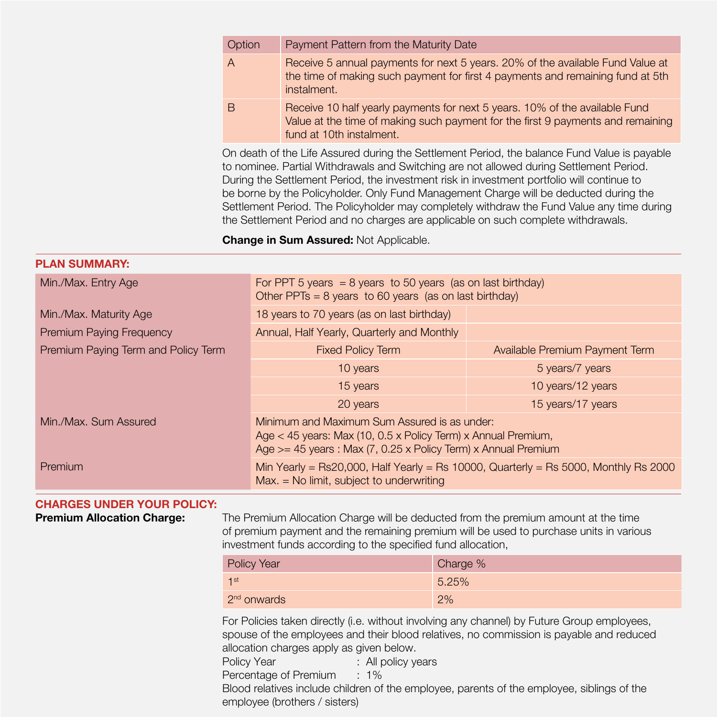| Option | Payment Pattern from the Maturity Date                                                                                                                                                     |
|--------|--------------------------------------------------------------------------------------------------------------------------------------------------------------------------------------------|
| A      | Receive 5 annual payments for next 5 years. 20% of the available Fund Value at<br>the time of making such payment for first 4 payments and remaining fund at 5th<br>instalment.            |
| B      | Receive 10 half yearly payments for next 5 years. 10% of the available Fund<br>Value at the time of making such payment for the first 9 payments and remaining<br>fund at 10th instalment. |

On death of the Life Assured during the Settlement Period, the balance Fund Value is payable to nominee. Partial Withdrawals and Switching are not allowed during Settlement Period. During the Settlement Period, the investment risk in investment portfolio will continue to be borne by the Policyholder. Only Fund Management Charge will be deducted during the Settlement Period. The Policyholder may completely withdraw the Fund Value any time during the Settlement Period and no charges are applicable on such complete withdrawals.

### **Change in Sum Assured:** Not Applicable.

### **PLAN SUMMARY:**

| Min./Max. Entry Age                 | For PPT 5 years $= 8$ years to 50 years (as on last birthday)<br>Other PPTs = $8$ years to 60 years (as on last birthday)                                                           |                                |  |
|-------------------------------------|-------------------------------------------------------------------------------------------------------------------------------------------------------------------------------------|--------------------------------|--|
| Min./Max. Maturity Age              | 18 years to 70 years (as on last birthday)                                                                                                                                          |                                |  |
| <b>Premium Paying Frequency</b>     | Annual, Half Yearly, Quarterly and Monthly                                                                                                                                          |                                |  |
| Premium Paying Term and Policy Term | <b>Fixed Policy Term</b>                                                                                                                                                            | Available Premium Payment Term |  |
|                                     | 10 years                                                                                                                                                                            | 5 years/7 years                |  |
|                                     | 15 years                                                                                                                                                                            | 10 years/12 years              |  |
|                                     | 20 years                                                                                                                                                                            | 15 years/17 years              |  |
| Min./Max. Sum Assured               | Minimum and Maximum Sum Assured is as under:<br>Age $<$ 45 years: Max (10, 0.5 x Policy Term) x Annual Premium,<br>Age $>=$ 45 years : Max (7, 0.25 x Policy Term) x Annual Premium |                                |  |
| Premium                             | Min Yearly = Rs20,000, Half Yearly = Rs 10000, Quarterly = Rs 5000, Monthly Rs 2000<br>$Max. = No$ limit, subject to underwriting                                                   |                                |  |

### **CHARGES UNDER YOUR POLICY:**

**Premium Allocation Charge:** The Premium Allocation Charge will be deducted from the premium amount at the time of premium payment and the remaining premium will be used to purchase units in various investment funds according to the specified fund allocation,

| Policy Year   | Charge % |
|---------------|----------|
| $1$ st        | 5.25%    |
| $2nd$ onwards | 2%       |

For Policies taken directly (i.e. without involving any channel) by Future Group employees, spouse of the employees and their blood relatives, no commission is payable and reduced allocation charges apply as given below.

Policy Year : All policy years

Percentage of Premium : 1%

Blood relatives include children of the employee, parents of the employee, siblings of the employee (brothers / sisters)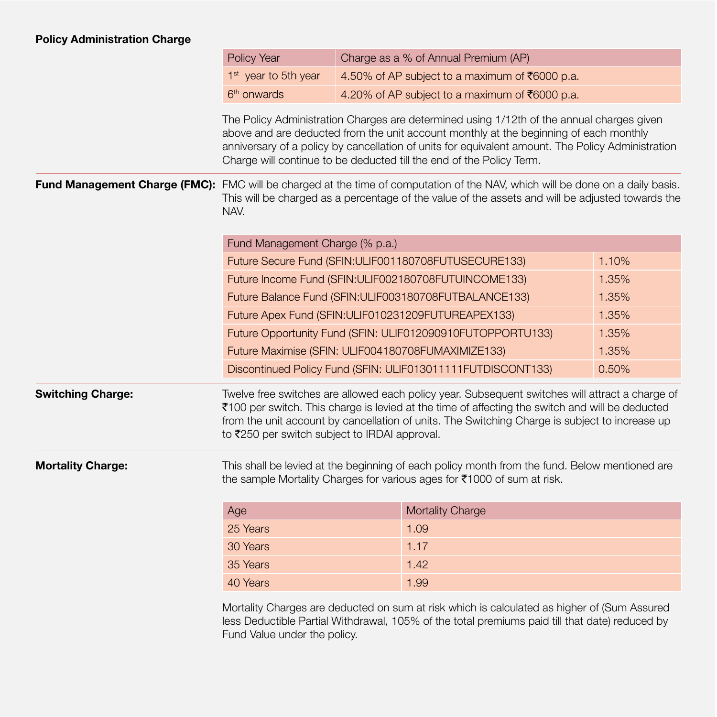# **Policy Administration Charge**

|                          | Policy Year                                                                                                                                                                                                                                                                                                                                                     | Charge as a % of Annual Premium (AP) |                                                                                                                                                                                                                                                                                                      |       |  |
|--------------------------|-----------------------------------------------------------------------------------------------------------------------------------------------------------------------------------------------------------------------------------------------------------------------------------------------------------------------------------------------------------------|--------------------------------------|------------------------------------------------------------------------------------------------------------------------------------------------------------------------------------------------------------------------------------------------------------------------------------------------------|-------|--|
|                          | 1 <sup>st</sup> year to 5th year                                                                                                                                                                                                                                                                                                                                |                                      | 4.50% of AP subject to a maximum of ₹6000 p.a.                                                                                                                                                                                                                                                       |       |  |
|                          | 6 <sup>th</sup> onwards                                                                                                                                                                                                                                                                                                                                         |                                      | 4.20% of AP subject to a maximum of ₹6000 p.a.                                                                                                                                                                                                                                                       |       |  |
|                          | The Policy Administration Charges are determined using 1/12th of the annual charges given<br>above and are deducted from the unit account monthly at the beginning of each monthly<br>anniversary of a policy by cancellation of units for equivalent amount. The Policy Administration<br>Charge will continue to be deducted till the end of the Policy Term. |                                      |                                                                                                                                                                                                                                                                                                      |       |  |
|                          | NAV.                                                                                                                                                                                                                                                                                                                                                            |                                      | Fund Management Charge (FMC): FMC will be charged at the time of computation of the NAV, which will be done on a daily basis.<br>This will be charged as a percentage of the value of the assets and will be adjusted towards the                                                                    |       |  |
|                          | Fund Management Charge (% p.a.)                                                                                                                                                                                                                                                                                                                                 |                                      |                                                                                                                                                                                                                                                                                                      |       |  |
|                          |                                                                                                                                                                                                                                                                                                                                                                 |                                      | Future Secure Fund (SFIN:ULIF001180708FUTUSECURE133)                                                                                                                                                                                                                                                 | 1.10% |  |
|                          |                                                                                                                                                                                                                                                                                                                                                                 |                                      | Future Income Fund (SFIN:ULIF002180708FUTUINCOME133)                                                                                                                                                                                                                                                 | 1.35% |  |
|                          | 1.35%<br>Future Balance Fund (SFIN:ULIF003180708FUTBALANCE133)                                                                                                                                                                                                                                                                                                  |                                      |                                                                                                                                                                                                                                                                                                      |       |  |
|                          | Future Apex Fund (SFIN:ULIF010231209FUTUREAPEX133)<br>1.35%                                                                                                                                                                                                                                                                                                     |                                      |                                                                                                                                                                                                                                                                                                      |       |  |
|                          | Future Opportunity Fund (SFIN: ULIF012090910FUTOPPORTU133)<br>1.35%                                                                                                                                                                                                                                                                                             |                                      |                                                                                                                                                                                                                                                                                                      |       |  |
|                          | Future Maximise (SFIN: ULIF004180708FUMAXIMIZE133)<br>1.35%                                                                                                                                                                                                                                                                                                     |                                      |                                                                                                                                                                                                                                                                                                      |       |  |
|                          |                                                                                                                                                                                                                                                                                                                                                                 |                                      | Discontinued Policy Fund (SFIN: ULIF013011111FUTDISCONT133)                                                                                                                                                                                                                                          | 0.50% |  |
| <b>Switching Charge:</b> | to ₹250 per switch subject to IRDAI approval.                                                                                                                                                                                                                                                                                                                   |                                      | Twelve free switches are allowed each policy year. Subsequent switches will attract a charge of<br>₹100 per switch. This charge is levied at the time of affecting the switch and will be deducted<br>from the unit account by cancellation of units. The Switching Charge is subject to increase up |       |  |
| <b>Mortality Charge:</b> |                                                                                                                                                                                                                                                                                                                                                                 |                                      | This shall be levied at the beginning of each policy month from the fund. Below mentioned are<br>the sample Mortality Charges for various ages for ₹1000 of sum at risk.                                                                                                                             |       |  |
|                          | Age                                                                                                                                                                                                                                                                                                                                                             |                                      | <b>Mortality Charge</b>                                                                                                                                                                                                                                                                              |       |  |
|                          | 25 Years                                                                                                                                                                                                                                                                                                                                                        |                                      | 1.09                                                                                                                                                                                                                                                                                                 |       |  |
|                          | 30 Years                                                                                                                                                                                                                                                                                                                                                        |                                      | 1.17                                                                                                                                                                                                                                                                                                 |       |  |
|                          | 35 Years                                                                                                                                                                                                                                                                                                                                                        |                                      | 1.42                                                                                                                                                                                                                                                                                                 |       |  |
|                          | 40 Years                                                                                                                                                                                                                                                                                                                                                        |                                      | 1.99                                                                                                                                                                                                                                                                                                 |       |  |

Mortality Charges are deducted on sum at risk which is calculated as higher of (Sum Assured less Deductible Partial Withdrawal, 105% of the total premiums paid till that date) reduced by Fund Value under the policy.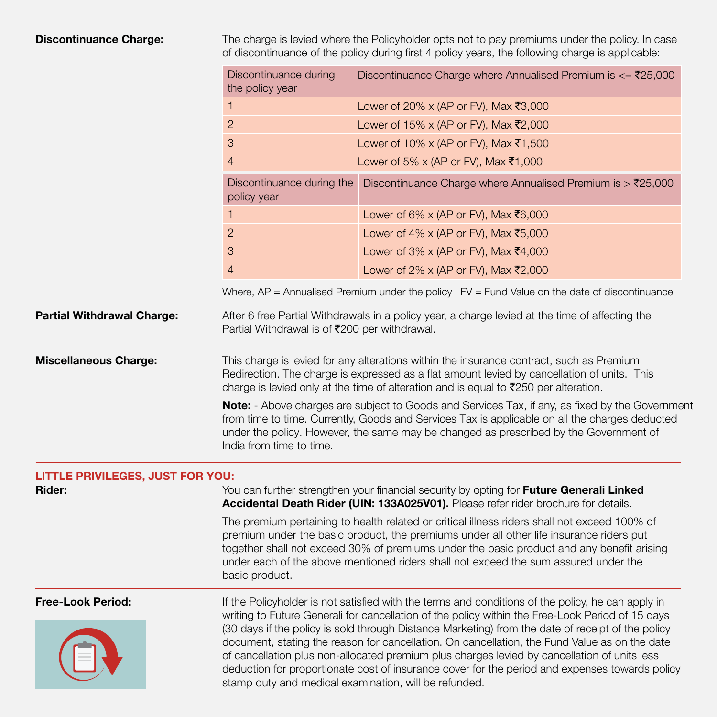**Discontinuance Charge:** The charge is levied where the Policyholder opts not to pay premiums under the policy. In case of discontinuance of the policy during first 4 policy years, the following charge is applicable:

|                                         | Discontinuance during<br>the policy year                                                                                                                                                                                                                                                                                                                                                                                                                                                                                                                                                                                                                               | Discontinuance Charge where Annualised Premium is $\epsilon = \frac{725,000}{500}$                  |  |  |
|-----------------------------------------|------------------------------------------------------------------------------------------------------------------------------------------------------------------------------------------------------------------------------------------------------------------------------------------------------------------------------------------------------------------------------------------------------------------------------------------------------------------------------------------------------------------------------------------------------------------------------------------------------------------------------------------------------------------------|-----------------------------------------------------------------------------------------------------|--|--|
|                                         | 1                                                                                                                                                                                                                                                                                                                                                                                                                                                                                                                                                                                                                                                                      | Lower of 20% x (AP or FV), Max ₹3,000                                                               |  |  |
|                                         | $\overline{2}$                                                                                                                                                                                                                                                                                                                                                                                                                                                                                                                                                                                                                                                         | Lower of 15% x (AP or FV), Max ₹2,000                                                               |  |  |
|                                         | 3                                                                                                                                                                                                                                                                                                                                                                                                                                                                                                                                                                                                                                                                      | Lower of 10% x (AP or FV), Max ₹1,500                                                               |  |  |
|                                         | $\overline{4}$                                                                                                                                                                                                                                                                                                                                                                                                                                                                                                                                                                                                                                                         | Lower of 5% x (AP or FV), Max ₹1,000                                                                |  |  |
|                                         | Discontinuance during the<br>policy year                                                                                                                                                                                                                                                                                                                                                                                                                                                                                                                                                                                                                               | Discontinuance Charge where Annualised Premium is $>$ ₹25,000                                       |  |  |
|                                         | 1                                                                                                                                                                                                                                                                                                                                                                                                                                                                                                                                                                                                                                                                      | Lower of 6% x (AP or FV), Max ₹6,000                                                                |  |  |
|                                         | $\overline{c}$                                                                                                                                                                                                                                                                                                                                                                                                                                                                                                                                                                                                                                                         | Lower of 4% x (AP or FV), Max ₹5,000                                                                |  |  |
|                                         | 3                                                                                                                                                                                                                                                                                                                                                                                                                                                                                                                                                                                                                                                                      | Lower of 3% x (AP or FV), Max ₹4,000                                                                |  |  |
|                                         | $\overline{4}$                                                                                                                                                                                                                                                                                                                                                                                                                                                                                                                                                                                                                                                         | Lower of 2% x (AP or FV), Max ₹2,000                                                                |  |  |
|                                         |                                                                                                                                                                                                                                                                                                                                                                                                                                                                                                                                                                                                                                                                        | Where, $AP =$ Annualised Premium under the policy $  FV =$ Fund Value on the date of discontinuance |  |  |
| <b>Partial Withdrawal Charge:</b>       | Partial Withdrawal is of ₹200 per withdrawal.                                                                                                                                                                                                                                                                                                                                                                                                                                                                                                                                                                                                                          | After 6 free Partial Withdrawals in a policy year, a charge levied at the time of affecting the     |  |  |
| <b>Miscellaneous Charge:</b>            | This charge is levied for any alterations within the insurance contract, such as Premium<br>Redirection. The charge is expressed as a flat amount levied by cancellation of units. This<br>charge is levied only at the time of alteration and is equal to $\overline{5}250$ per alteration.                                                                                                                                                                                                                                                                                                                                                                           |                                                                                                     |  |  |
|                                         | Note: - Above charges are subject to Goods and Services Tax, if any, as fixed by the Government<br>from time to time. Currently, Goods and Services Tax is applicable on all the charges deducted<br>under the policy. However, the same may be changed as prescribed by the Government of<br>India from time to time.                                                                                                                                                                                                                                                                                                                                                 |                                                                                                     |  |  |
| <b>LITTLE PRIVILEGES, JUST FOR YOU:</b> |                                                                                                                                                                                                                                                                                                                                                                                                                                                                                                                                                                                                                                                                        |                                                                                                     |  |  |
| Rider:                                  | You can further strengthen your financial security by opting for Future Generali Linked<br>Accidental Death Rider (UIN: 133A025V01). Please refer rider brochure for details.                                                                                                                                                                                                                                                                                                                                                                                                                                                                                          |                                                                                                     |  |  |
|                                         | The premium pertaining to health related or critical illness riders shall not exceed 100% of<br>premium under the basic product, the premiums under all other life insurance riders put<br>together shall not exceed 30% of premiums under the basic product and any benefit arising<br>under each of the above mentioned riders shall not exceed the sum assured under the<br>basic product.                                                                                                                                                                                                                                                                          |                                                                                                     |  |  |
| <b>Free-Look Period:</b>                | If the Policyholder is not satisfied with the terms and conditions of the policy, he can apply in<br>writing to Future Generali for cancellation of the policy within the Free-Look Period of 15 days<br>(30 days if the policy is sold through Distance Marketing) from the date of receipt of the policy<br>document, stating the reason for cancellation. On cancellation, the Fund Value as on the date<br>of cancellation plus non-allocated premium plus charges levied by cancellation of units less<br>deduction for proportionate cost of insurance cover for the period and expenses towards policy<br>stamp duty and medical examination, will be refunded. |                                                                                                     |  |  |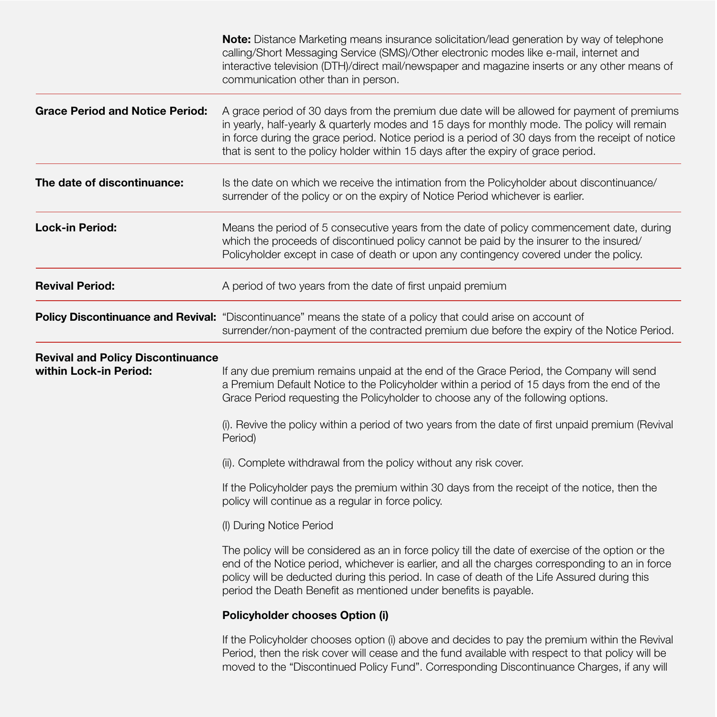|                                                                    | <b>Note:</b> Distance Marketing means insurance solicitation/lead generation by way of telephone<br>calling/Short Messaging Service (SMS)/Other electronic modes like e-mail, internet and<br>interactive television (DTH)/direct mail/newspaper and magazine inserts or any other means of<br>communication other than in person.                                                      |
|--------------------------------------------------------------------|-----------------------------------------------------------------------------------------------------------------------------------------------------------------------------------------------------------------------------------------------------------------------------------------------------------------------------------------------------------------------------------------|
| <b>Grace Period and Notice Period:</b>                             | A grace period of 30 days from the premium due date will be allowed for payment of premiums<br>in yearly, half-yearly & quarterly modes and 15 days for monthly mode. The policy will remain<br>in force during the grace period. Notice period is a period of 30 days from the receipt of notice<br>that is sent to the policy holder within 15 days after the expiry of grace period. |
| The date of discontinuance:                                        | Is the date on which we receive the intimation from the Policyholder about discontinuance/<br>surrender of the policy or on the expiry of Notice Period whichever is earlier.                                                                                                                                                                                                           |
| <b>Lock-in Period:</b>                                             | Means the period of 5 consecutive years from the date of policy commencement date, during<br>which the proceeds of discontinued policy cannot be paid by the insurer to the insured/<br>Policyholder except in case of death or upon any contingency covered under the policy.                                                                                                          |
| <b>Revival Period:</b>                                             | A period of two years from the date of first unpaid premium                                                                                                                                                                                                                                                                                                                             |
|                                                                    | Policy Discontinuance and Revival: "Discontinuance" means the state of a policy that could arise on account of<br>surrender/non-payment of the contracted premium due before the expiry of the Notice Period.                                                                                                                                                                           |
| <b>Revival and Policy Discontinuance</b><br>within Lock-in Period: | If any due premium remains unpaid at the end of the Grace Period, the Company will send<br>a Premium Default Notice to the Policyholder within a period of 15 days from the end of the<br>Grace Period requesting the Policyholder to choose any of the following options.                                                                                                              |
|                                                                    | (i). Revive the policy within a period of two years from the date of first unpaid premium (Revival<br>Period)                                                                                                                                                                                                                                                                           |
|                                                                    | (ii). Complete withdrawal from the policy without any risk cover.                                                                                                                                                                                                                                                                                                                       |
|                                                                    | If the Policyholder pays the premium within 30 days from the receipt of the notice, then the<br>policy will continue as a regular in force policy.                                                                                                                                                                                                                                      |
|                                                                    | (I) During Notice Period                                                                                                                                                                                                                                                                                                                                                                |
|                                                                    | The policy will be considered as an in force policy till the date of exercise of the option or the<br>end of the Notice period, whichever is earlier, and all the charges corresponding to an in force<br>policy will be deducted during this period. In case of death of the Life Assured during this<br>period the Death Benefit as mentioned under benefits is payable.              |
|                                                                    | Policyholder chooses Option (i)                                                                                                                                                                                                                                                                                                                                                         |
|                                                                    | If the Policyholder chooses option (i) above and decides to pay the premium within the Revival<br>Period, then the risk cover will cease and the fund available with respect to that policy will be                                                                                                                                                                                     |

moved to the "Discontinued Policy Fund". Corresponding Discontinuance Charges, if any will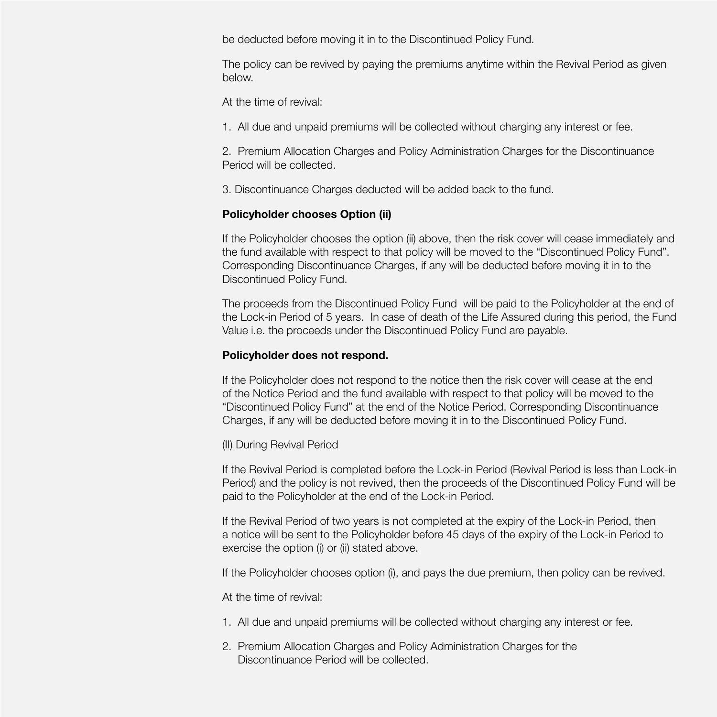be deducted before moving it in to the Discontinued Policy Fund.

The policy can be revived by paying the premiums anytime within the Revival Period as given below.

At the time of revival:

1. All due and unpaid premiums will be collected without charging any interest or fee.

2. Premium Allocation Charges and Policy Administration Charges for the Discontinuance Period will be collected.

3. Discontinuance Charges deducted will be added back to the fund.

# **Policyholder chooses Option (ii)**

If the Policyholder chooses the option (ii) above, then the risk cover will cease immediately and the fund available with respect to that policy will be moved to the "Discontinued Policy Fund". Corresponding Discontinuance Charges, if any will be deducted before moving it in to the Discontinued Policy Fund.

The proceeds from the Discontinued Policy Fund will be paid to the Policyholder at the end of the Lock-in Period of 5 years. In case of death of the Life Assured during this period, the Fund Value i.e. the proceeds under the Discontinued Policy Fund are payable.

# **Policyholder does not respond.**

If the Policyholder does not respond to the notice then the risk cover will cease at the end of the Notice Period and the fund available with respect to that policy will be moved to the "Discontinued Policy Fund" at the end of the Notice Period. Corresponding Discontinuance Charges, if any will be deducted before moving it in to the Discontinued Policy Fund.

(II) During Revival Period

If the Revival Period is completed before the Lock-in Period (Revival Period is less than Lock-in Period) and the policy is not revived, then the proceeds of the Discontinued Policy Fund will be paid to the Policyholder at the end of the Lock-in Period.

If the Revival Period of two years is not completed at the expiry of the Lock-in Period, then a notice will be sent to the Policyholder before 45 days of the expiry of the Lock-in Period to exercise the option (i) or (ii) stated above.

If the Policyholder chooses option (i), and pays the due premium, then policy can be revived.

At the time of revival:

- 1. All due and unpaid premiums will be collected without charging any interest or fee.
- 2. Premium Allocation Charges and Policy Administration Charges for the Discontinuance Period will be collected.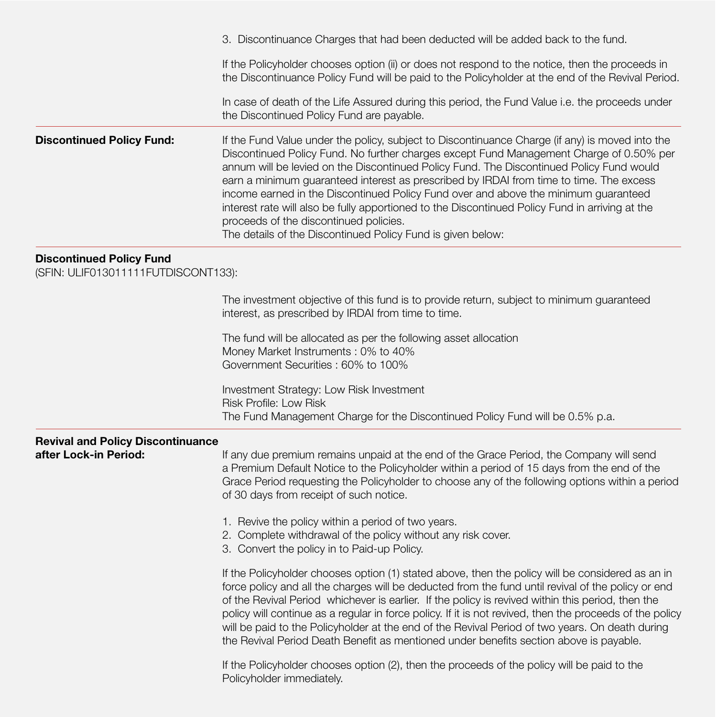|                                                                        | 3. Discontinuance Charges that had been deducted will be added back to the fund.                                                                                                                                                                                                                                                                                                                                                                                                                                                                                                                                                                                                     |
|------------------------------------------------------------------------|--------------------------------------------------------------------------------------------------------------------------------------------------------------------------------------------------------------------------------------------------------------------------------------------------------------------------------------------------------------------------------------------------------------------------------------------------------------------------------------------------------------------------------------------------------------------------------------------------------------------------------------------------------------------------------------|
|                                                                        | If the Policyholder chooses option (ii) or does not respond to the notice, then the proceeds in<br>the Discontinuance Policy Fund will be paid to the Policyholder at the end of the Revival Period.                                                                                                                                                                                                                                                                                                                                                                                                                                                                                 |
|                                                                        | In case of death of the Life Assured during this period, the Fund Value i.e. the proceeds under<br>the Discontinued Policy Fund are payable.                                                                                                                                                                                                                                                                                                                                                                                                                                                                                                                                         |
| <b>Discontinued Policy Fund:</b>                                       | If the Fund Value under the policy, subject to Discontinuance Charge (if any) is moved into the<br>Discontinued Policy Fund. No further charges except Fund Management Charge of 0.50% per<br>annum will be levied on the Discontinued Policy Fund. The Discontinued Policy Fund would<br>earn a minimum guaranteed interest as prescribed by IRDAI from time to time. The excess<br>income earned in the Discontinued Policy Fund over and above the minimum guaranteed<br>interest rate will also be fully apportioned to the Discontinued Policy Fund in arriving at the<br>proceeds of the discontinued policies.<br>The details of the Discontinued Policy Fund is given below: |
| <b>Discontinued Policy Fund</b><br>(SFIN: ULIF013011111FUTDISCONT133): |                                                                                                                                                                                                                                                                                                                                                                                                                                                                                                                                                                                                                                                                                      |
|                                                                        | The investment objective of this fund is to provide return, subject to minimum guaranteed<br>interest, as prescribed by IRDAI from time to time.                                                                                                                                                                                                                                                                                                                                                                                                                                                                                                                                     |
|                                                                        | The fund will be allocated as per the following asset allocation<br>Money Market Instruments: 0% to 40%<br>Government Securities : 60% to 100%                                                                                                                                                                                                                                                                                                                                                                                                                                                                                                                                       |
|                                                                        | Investment Strategy: Low Risk Investment<br>Risk Profile: Low Risk<br>The Fund Management Charge for the Discontinued Policy Fund will be 0.5% p.a.                                                                                                                                                                                                                                                                                                                                                                                                                                                                                                                                  |
| <b>Revival and Policy Discontinuance</b><br>after Lock-in Period:      | If any due premium remains unpaid at the end of the Grace Period, the Company will send                                                                                                                                                                                                                                                                                                                                                                                                                                                                                                                                                                                              |
|                                                                        | a Premium Default Notice to the Policyholder within a period of 15 days from the end of the<br>Grace Period requesting the Policyholder to choose any of the following options within a period<br>of 30 days from receipt of such notice.                                                                                                                                                                                                                                                                                                                                                                                                                                            |
|                                                                        | 1. Revive the policy within a period of two years.<br>2. Complete withdrawal of the policy without any risk cover.<br>3. Convert the policy in to Paid-up Policy.                                                                                                                                                                                                                                                                                                                                                                                                                                                                                                                    |
|                                                                        | If the Policyholder chooses option (1) stated above, then the policy will be considered as an in<br>force policy and all the charges will be deducted from the fund until revival of the policy or end<br>of the Revival Period whichever is earlier. If the policy is revived within this period, then the<br>policy will continue as a regular in force policy. If it is not revived, then the proceeds of the policy<br>will be paid to the Policyholder at the end of the Revival Period of two years. On death during<br>the Revival Period Death Benefit as mentioned under benefits section above is payable.                                                                 |
|                                                                        |                                                                                                                                                                                                                                                                                                                                                                                                                                                                                                                                                                                                                                                                                      |

If the Policyholder chooses option (2), then the proceeds of the policy will be paid to the Policyholder immediately.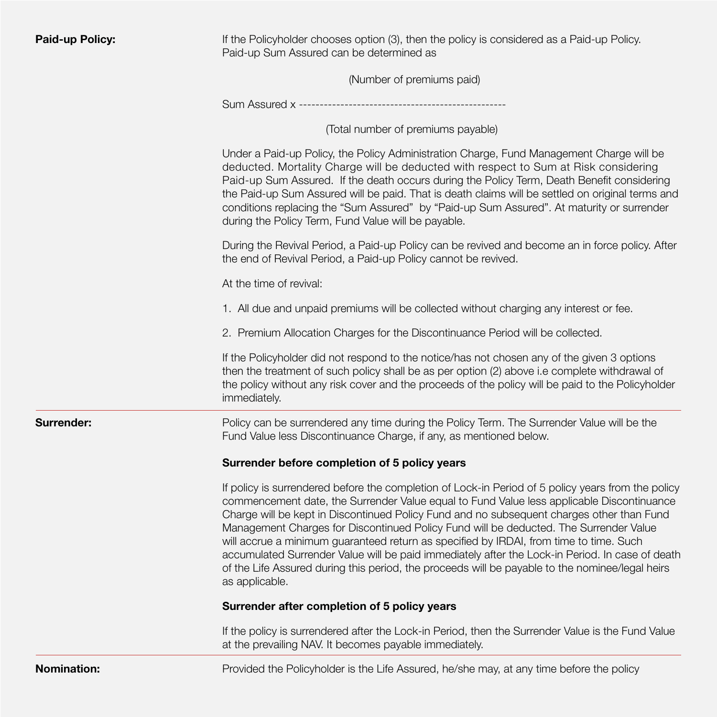| <b>Paid-up Policy:</b> | If the Policyholder chooses option (3), then the policy is considered as a Paid-up Policy.<br>Paid-up Sum Assured can be determined as                                                                                                                                                                                                                                                                                                                                                                                                                                                                                                                                                                  |
|------------------------|---------------------------------------------------------------------------------------------------------------------------------------------------------------------------------------------------------------------------------------------------------------------------------------------------------------------------------------------------------------------------------------------------------------------------------------------------------------------------------------------------------------------------------------------------------------------------------------------------------------------------------------------------------------------------------------------------------|
|                        | (Number of premiums paid)                                                                                                                                                                                                                                                                                                                                                                                                                                                                                                                                                                                                                                                                               |
|                        | Sum Assured x ---------------------------                                                                                                                                                                                                                                                                                                                                                                                                                                                                                                                                                                                                                                                               |
|                        | (Total number of premiums payable)                                                                                                                                                                                                                                                                                                                                                                                                                                                                                                                                                                                                                                                                      |
|                        | Under a Paid-up Policy, the Policy Administration Charge, Fund Management Charge will be<br>deducted. Mortality Charge will be deducted with respect to Sum at Risk considering<br>Paid-up Sum Assured. If the death occurs during the Policy Term, Death Benefit considering<br>the Paid-up Sum Assured will be paid. That is death claims will be settled on original terms and<br>conditions replacing the "Sum Assured" by "Paid-up Sum Assured". At maturity or surrender<br>during the Policy Term, Fund Value will be payable.                                                                                                                                                                   |
|                        | During the Revival Period, a Paid-up Policy can be revived and become an in force policy. After<br>the end of Revival Period, a Paid-up Policy cannot be revived.                                                                                                                                                                                                                                                                                                                                                                                                                                                                                                                                       |
|                        | At the time of revival:                                                                                                                                                                                                                                                                                                                                                                                                                                                                                                                                                                                                                                                                                 |
|                        | 1. All due and unpaid premiums will be collected without charging any interest or fee.                                                                                                                                                                                                                                                                                                                                                                                                                                                                                                                                                                                                                  |
|                        | 2. Premium Allocation Charges for the Discontinuance Period will be collected.                                                                                                                                                                                                                                                                                                                                                                                                                                                                                                                                                                                                                          |
|                        | If the Policyholder did not respond to the notice/has not chosen any of the given 3 options<br>then the treatment of such policy shall be as per option (2) above i.e complete withdrawal of<br>the policy without any risk cover and the proceeds of the policy will be paid to the Policyholder<br>immediately.                                                                                                                                                                                                                                                                                                                                                                                       |
| Surrender:             | Policy can be surrendered any time during the Policy Term. The Surrender Value will be the<br>Fund Value less Discontinuance Charge, if any, as mentioned below.                                                                                                                                                                                                                                                                                                                                                                                                                                                                                                                                        |
|                        | Surrender before completion of 5 policy years                                                                                                                                                                                                                                                                                                                                                                                                                                                                                                                                                                                                                                                           |
|                        | If policy is surrendered before the completion of Lock-in Period of 5 policy years from the policy<br>commencement date, the Surrender Value equal to Fund Value less applicable Discontinuance<br>Charge will be kept in Discontinued Policy Fund and no subsequent charges other than Fund<br>Management Charges for Discontinued Policy Fund will be deducted. The Surrender Value<br>will accrue a minimum guaranteed return as specified by IRDAI, from time to time. Such<br>accumulated Surrender Value will be paid immediately after the Lock-in Period. In case of death<br>of the Life Assured during this period, the proceeds will be payable to the nominee/legal heirs<br>as applicable. |
|                        | Surrender after completion of 5 policy years                                                                                                                                                                                                                                                                                                                                                                                                                                                                                                                                                                                                                                                            |
|                        | If the policy is surrendered after the Lock-in Period, then the Surrender Value is the Fund Value<br>at the prevailing NAV. It becomes payable immediately.                                                                                                                                                                                                                                                                                                                                                                                                                                                                                                                                             |
| <b>Nomination:</b>     | Provided the Policyholder is the Life Assured, he/she may, at any time before the policy                                                                                                                                                                                                                                                                                                                                                                                                                                                                                                                                                                                                                |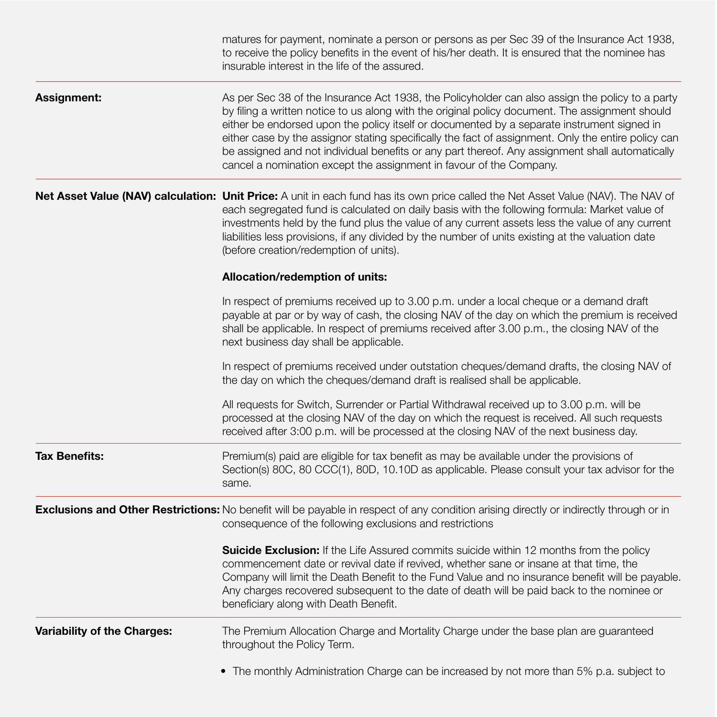|                             | matures for payment, nominate a person or persons as per Sec 39 of the Insurance Act 1938,<br>to receive the policy benefits in the event of his/her death. It is ensured that the nominee has<br>insurable interest in the life of the assured.                                                                                                                                                                                                                                                                                                                                  |
|-----------------------------|-----------------------------------------------------------------------------------------------------------------------------------------------------------------------------------------------------------------------------------------------------------------------------------------------------------------------------------------------------------------------------------------------------------------------------------------------------------------------------------------------------------------------------------------------------------------------------------|
| <b>Assignment:</b>          | As per Sec 38 of the Insurance Act 1938, the Policyholder can also assign the policy to a party<br>by filing a written notice to us along with the original policy document. The assignment should<br>either be endorsed upon the policy itself or documented by a separate instrument signed in<br>either case by the assignor stating specifically the fact of assignment. Only the entire policy can<br>be assigned and not individual benefits or any part thereof. Any assignment shall automatically<br>cancel a nomination except the assignment in favour of the Company. |
|                             | Net Asset Value (NAV) calculation: Unit Price: A unit in each fund has its own price called the Net Asset Value (NAV). The NAV of<br>each segregated fund is calculated on daily basis with the following formula: Market value of<br>investments held by the fund plus the value of any current assets less the value of any current<br>liabilities less provisions, if any divided by the number of units existing at the valuation date<br>(before creation/redemption of units).                                                                                              |
|                             | Allocation/redemption of units:                                                                                                                                                                                                                                                                                                                                                                                                                                                                                                                                                   |
|                             | In respect of premiums received up to 3.00 p.m. under a local cheque or a demand draft<br>payable at par or by way of cash, the closing NAV of the day on which the premium is received<br>shall be applicable. In respect of premiums received after 3.00 p.m., the closing NAV of the<br>next business day shall be applicable.                                                                                                                                                                                                                                                 |
|                             | In respect of premiums received under outstation cheques/demand drafts, the closing NAV of<br>the day on which the cheques/demand draft is realised shall be applicable.                                                                                                                                                                                                                                                                                                                                                                                                          |
|                             | All requests for Switch, Surrender or Partial Withdrawal received up to 3.00 p.m. will be<br>processed at the closing NAV of the day on which the request is received. All such requests<br>received after 3:00 p.m. will be processed at the closing NAV of the next business day.                                                                                                                                                                                                                                                                                               |
| <b>Tax Benefits:</b>        | Premium(s) paid are eligible for tax benefit as may be available under the provisions of<br>Section(s) 80C, 80 CCC(1), 80D, 10.10D as applicable. Please consult your tax advisor for the<br>same.                                                                                                                                                                                                                                                                                                                                                                                |
|                             | Exclusions and Other Restrictions: No benefit will be payable in respect of any condition arising directly or indirectly through or in<br>consequence of the following exclusions and restrictions                                                                                                                                                                                                                                                                                                                                                                                |
|                             | <b>Suicide Exclusion:</b> If the Life Assured commits suicide within 12 months from the policy<br>commencement date or revival date if revived, whether sane or insane at that time, the<br>Company will limit the Death Benefit to the Fund Value and no insurance benefit will be payable.<br>Any charges recovered subsequent to the date of death will be paid back to the nominee or<br>beneficiary along with Death Benefit.                                                                                                                                                |
| Variability of the Charges: | The Premium Allocation Charge and Mortality Charge under the base plan are guaranteed<br>throughout the Policy Term.                                                                                                                                                                                                                                                                                                                                                                                                                                                              |
|                             | • The monthly Administration Charge can be increased by not more than 5% p.a. subject to                                                                                                                                                                                                                                                                                                                                                                                                                                                                                          |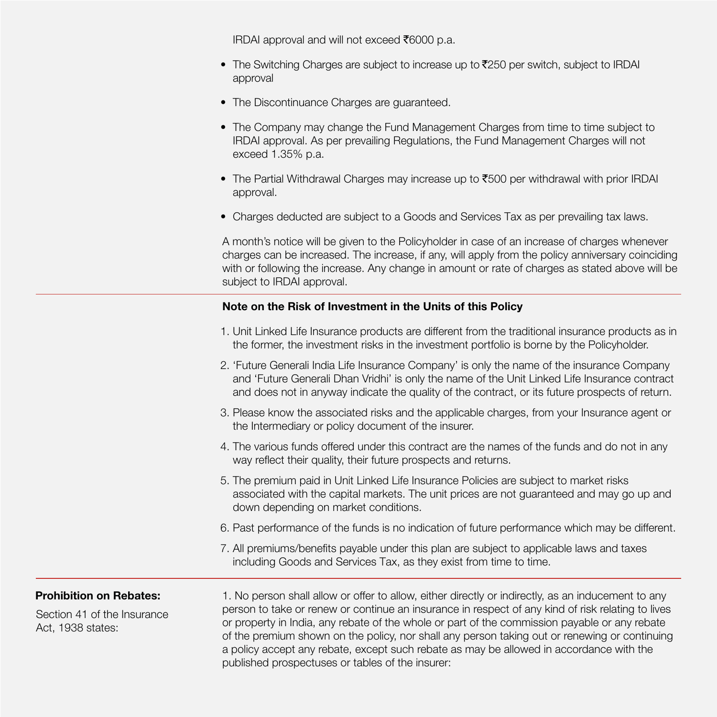IRDAI approval and will not exceed  $\bar{\epsilon}$ 6000 p.a.

- The Switching Charges are subject to increase up to  $\overline{2}250$  per switch, subject to IRDAI approval
- The Discontinuance Charges are guaranteed.
- The Company may change the Fund Management Charges from time to time subject to IRDAI approval. As per prevailing Regulations, the Fund Management Charges will not exceed 1.35% p.a.
- The Partial Withdrawal Charges may increase up to  $\bar{t}$ 500 per withdrawal with prior IRDAI approval.
- Charges deducted are subject to a Goods and Services Tax as per prevailing tax laws.

A month's notice will be given to the Policyholder in case of an increase of charges whenever charges can be increased. The increase, if any, will apply from the policy anniversary coinciding with or following the increase. Any change in amount or rate of charges as stated above will be subject to IRDAI approval.

### **Note on the Risk of Investment in the Units of this Policy**

- 1. Unit Linked Life Insurance products are different from the traditional insurance products as in the former, the investment risks in the investment portfolio is borne by the Policyholder.
- 2. 'Future Generali India Life Insurance Company' is only the name of the insurance Company and 'Future Generali Dhan Vridhi' is only the name of the Unit Linked Life Insurance contract and does not in anyway indicate the quality of the contract, or its future prospects of return.
- 3. Please know the associated risks and the applicable charges, from your Insurance agent or the Intermediary or policy document of the insurer.
- 4. The various funds offered under this contract are the names of the funds and do not in any way reflect their quality, their future prospects and returns.
- 5. The premium paid in Unit Linked Life Insurance Policies are subject to market risks associated with the capital markets. The unit prices are not guaranteed and may go up and down depending on market conditions.
- 6. Past performance of the funds is no indication of future performance which may be different.
- 7. All premiums/benefits payable under this plan are subject to applicable laws and taxes including Goods and Services Tax, as they exist from time to time.

Section 41 of the Insurance Act, 1938 states:

**Prohibition on Rebates:** 1. No person shall allow or offer to allow, either directly or indirectly, as an inducement to any person to take or renew or continue an insurance in respect of any kind of risk relating to lives or property in India, any rebate of the whole or part of the commission payable or any rebate of the premium shown on the policy, nor shall any person taking out or renewing or continuing a policy accept any rebate, except such rebate as may be allowed in accordance with the published prospectuses or tables of the insurer: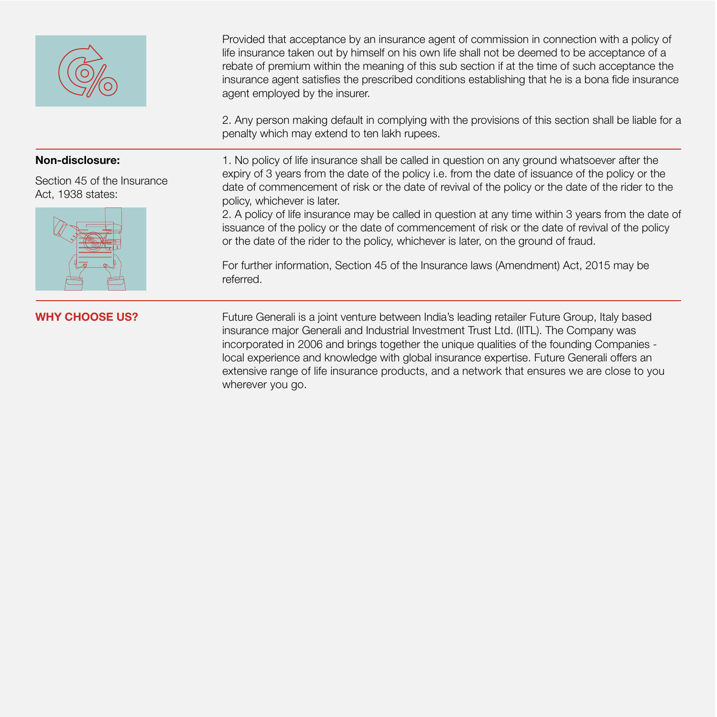

**WHY CHOOSE US? Future Generali is a joint venture between India's leading retailer Future Group, Italy based in the Unit of September 2016. The Croup, Italy based** insurance major Generali and Industrial Investment Trust Ltd. (IITL). The Company was incorporated in 2006 and brings together the unique qualities of the founding Companies local experience and knowledge with global insurance expertise. Future Generali offers an extensive range of life insurance products, and a network that ensures we are close to you wherever you go.